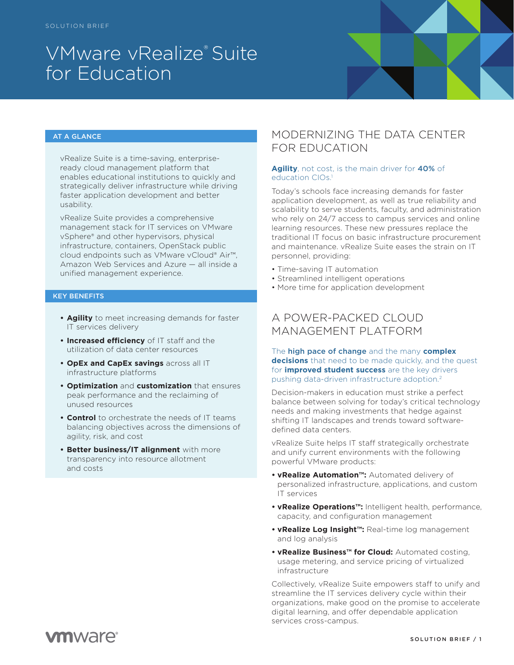# VMware vRealize® Suite for Education



#### AT A GLANCE

vRealize Suite is a time-saving, enterpriseready cloud management platform that enables educational institutions to quickly and strategically deliver infrastructure while driving faster application development and better usability.

vRealize Suite provides a comprehensive management stack for IT services on VMware vSphere® and other hypervisors, physical infrastructure, containers, OpenStack public cloud endpoints such as VMware vCloud® Air™, Amazon Web Services and Azure — all inside a unified management experience.

#### KEY BENEFITS

- **• Agility** to meet increasing demands for faster IT services delivery
- **• Increased efficiency** of IT staff and the utilization of data center resources
- **• OpEx and CapEx savings** across all IT infrastructure platforms
- **• Optimization** and **customization** that ensures peak performance and the reclaiming of unused resources
- **• Control** to orchestrate the needs of IT teams balancing objectives across the dimensions of agility, risk, and cost
- **• Better business/IT alignment** with more transparency into resource allotment and costs

## MODERNIZING THE DATA CENTER FOR EDUCATION

#### **Agility**, not cost, is the main driver for 40% of education CIOs.<sup>1</sup>

Today's schools face increasing demands for faster application development, as well as true reliability and scalability to serve students, faculty, and administration who rely on 24/7 access to campus services and online learning resources. These new pressures replace the traditional IT focus on basic infrastructure procurement and maintenance. vRealize Suite eases the strain on IT personnel, providing:

- Time-saving IT automation
- Streamlined intelligent operations
- More time for application development

## A POWER-PACKED CLOUD MANAGEMENT PLATFORM

The high pace of change and the many **complex decisions** that need to be made quickly, and the quest for **improved student success** are the key drivers pushing data-driven infrastructure adoption.2

Decision-makers in education must strike a perfect balance between solving for today's critical technology needs and making investments that hedge against shifting IT landscapes and trends toward softwaredefined data centers.

vRealize Suite helps IT staff strategically orchestrate and unify current environments with the following powerful VMware products:

- **• vRealize Automation™:** Automated delivery of personalized infrastructure, applications, and custom IT services
- **• vRealize Operations™:** Intelligent health, performance, capacity, and configuration management
- **• vRealize Log Insight™:** Real-time log management and log analysis
- **• vRealize Business™ for Cloud:** Automated costing, usage metering, and service pricing of virtualized infrastructure

Collectively, vRealize Suite empowers staff to unify and streamline the IT services delivery cycle within their organizations, make good on the promise to accelerate digital learning, and offer dependable application services cross-campus.

## **vm**ware<sup>®</sup>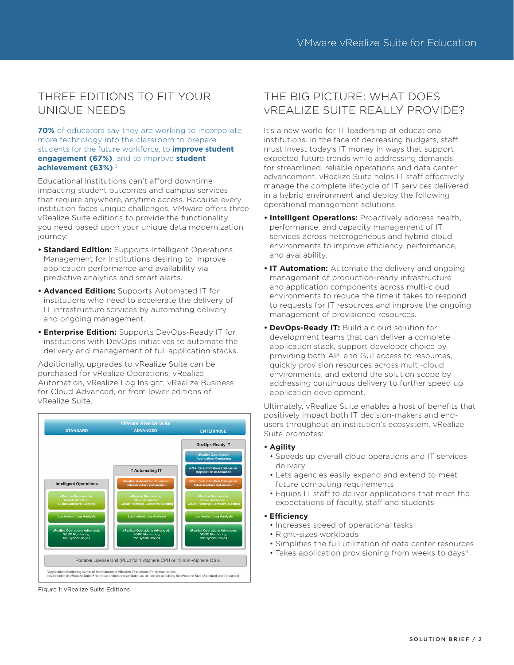## THREE EDITIONS TO FIT YOUR UNIQUE NEEDS

**70%** of educators say they are working to incorporate more technology into the classroom to prepare students for the future workforce, to **improve student engagement (67%)**, and to improve **student achievement (63%)**. 3

Educational institutions can't afford downtime impacting student outcomes and campus services that require anywhere, anytime access. Because every institution faces unique challenges, VMware offers three vRealize Suite editions to provide the functionality you need based upon your unique data modernization journey:

- **• Standard Edition:** Supports Intelligent Operations Management for institutions desiring to improve application performance and availability via predictive analytics and smart alerts.
- **• Advanced Edition:** Supports Automated IT for institutions who need to accelerate the delivery of IT infrastructure services by automating delivery and ongoing management.
- **• Enterprise Edition:** Supports DevOps-Ready IT for institutions with DevOps initiatives to automate the delivery and management of full application stacks.

Additionally, upgrades to vRealize Suite can be purchased for vRealize Operations, vRealize Automation, vRealize Log Insight, vRealize Business for Cloud Advanced, or from lower editions of vRealize Suite.



Figure 1: vRealize Suite Editions

## THE BIG PICTURE: WHAT DOES vREALIZE SUITE REALLY PROVIDE?

It's a new world for IT leadership at educational institutions. In the face of decreasing budgets, staff must invest today's IT money in ways that support expected future trends while addressing demands for streamlined, reliable operations and data center advancement. vRealize Suite helps IT staff effectively manage the complete lifecycle of IT services delivered in a hybrid environment and deploy the following operational management solutions:

- **• Intelligent Operations:** Proactively address health, performance, and capacity management of IT services across heterogeneous and hybrid cloud environments to improve efficiency, performance, and availability.
- **• IT Automation:** Automate the delivery and ongoing management of production-ready infrastructure and application components across multi-cloud environments to reduce the time it takes to respond to requests for IT resources and improve the ongoing management of provisioned resources.
- **• DevOps-Ready IT:** Build a cloud solution for development teams that can deliver a complete application stack, support developer choice by providing both API and GUI access to resources, quickly provision resources across multi-cloud environments, and extend the solution scope by addressing continuous delivery to further speed up application development.

Ultimately, vRealize Suite enables a host of benefits that positively impact both IT decision-makers and endusers throughout an institution's ecosystem. vRealize Suite promotes:

#### **• Agility**

- Speeds up overall cloud operations and IT services delivery
- Lets agencies easily expand and extend to meet future computing requirements
- Equips IT staff to deliver applications that meet the expectations of faculty, staff and students

#### **• Efficiency**

- Increases speed of operational tasks
- Right-sizes workloads
- Simplifies the full utilization of data center resources
- Takes application provisioning from weeks to days<sup>4</sup>